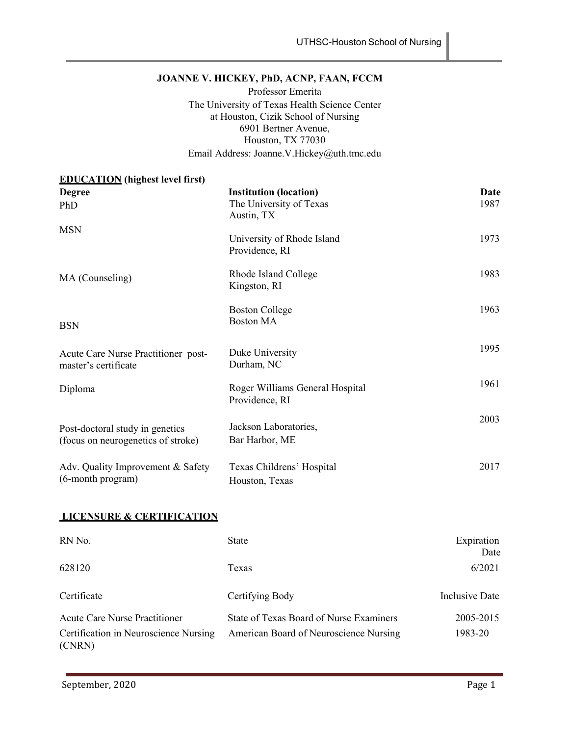# **JOANNE V. HICKEY, PhD, ACNP, FAAN, FCCM**

Professor Emerita The University of Texas Health Science Center at Houston, Cizik School of Nursing 6901 Bertner Avenue, Houston, TX 77030 Email Address: Joanne.V.Hickey@uth.tmc.edu

## **EDUCATION (highest level first)**

| <b>Degree</b><br>PhD                                                  | <b>Institution (location)</b><br>The University of Texas<br>Austin, TX | Date<br>1987 |
|-----------------------------------------------------------------------|------------------------------------------------------------------------|--------------|
| <b>MSN</b>                                                            | University of Rhode Island<br>Providence, RI                           | 1973         |
| MA (Counseling)                                                       | Rhode Island College<br>Kingston, RI                                   | 1983         |
| <b>BSN</b>                                                            | <b>Boston College</b><br><b>Boston MA</b>                              | 1963         |
| Acute Care Nurse Practitioner post-<br>master's certificate           | Duke University<br>Durham, NC                                          | 1995         |
| Diploma                                                               | Roger Williams General Hospital<br>Providence, RI                      | 1961         |
| Post-doctoral study in genetics<br>(focus on neurogenetics of stroke) | Jackson Laboratories,<br>Bar Harbor, ME                                | 2003         |
| Adv. Quality Improvement & Safety<br>(6-month program)                | Texas Childrens' Hospital<br>Houston, Texas                            | 2017         |

## **LICENSURE & CERTIFICATION**

| RN No.                                          | <b>State</b>                            | Expiration<br>Date |
|-------------------------------------------------|-----------------------------------------|--------------------|
| 628120                                          | Texas                                   | 6/2021             |
| Certificate                                     | Certifying Body                         | Inclusive Date     |
| <b>Acute Care Nurse Practitioner</b>            | State of Texas Board of Nurse Examiners | 2005-2015          |
| Certification in Neuroscience Nursing<br>(CNRN) | American Board of Neuroscience Nursing  | 1983-20            |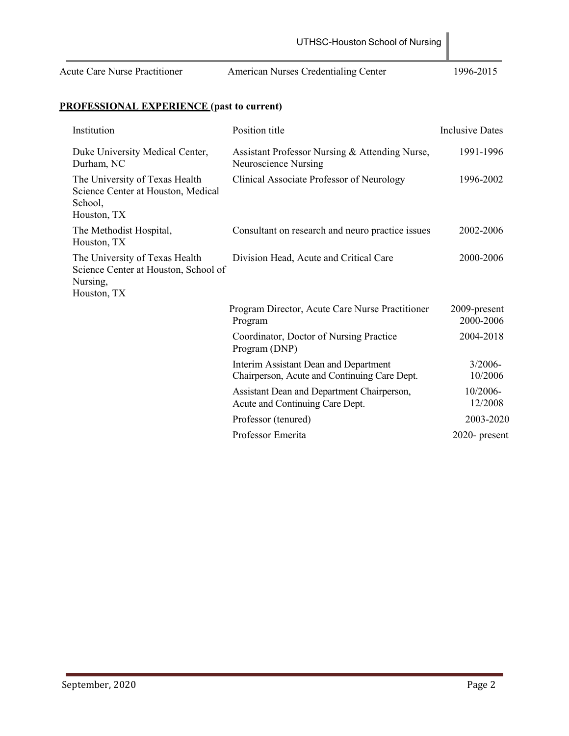|                                                                                                   | UTHSC-Houston School of Nursing                                                       |                           |
|---------------------------------------------------------------------------------------------------|---------------------------------------------------------------------------------------|---------------------------|
| <b>Acute Care Nurse Practitioner</b>                                                              | American Nurses Credentialing Center                                                  | 1996-2015                 |
| <b>PROFESSIONAL EXPERIENCE (past to current)</b>                                                  |                                                                                       |                           |
| Institution                                                                                       | Position title                                                                        | <b>Inclusive Dates</b>    |
| Duke University Medical Center,<br>Durham, NC                                                     | Assistant Professor Nursing & Attending Nurse,<br>Neuroscience Nursing                | 1991-1996                 |
| The University of Texas Health<br>Science Center at Houston, Medical<br>School,<br>Houston, TX    | Clinical Associate Professor of Neurology                                             | 1996-2002                 |
| The Methodist Hospital,<br>Houston, TX                                                            | Consultant on research and neuro practice issues                                      | 2002-2006                 |
| The University of Texas Health<br>Science Center at Houston, School of<br>Nursing,<br>Houston, TX | Division Head, Acute and Critical Care                                                | 2000-2006                 |
|                                                                                                   | Program Director, Acute Care Nurse Practitioner<br>Program                            | 2009-present<br>2000-2006 |
|                                                                                                   | Coordinator, Doctor of Nursing Practice<br>Program (DNP)                              | 2004-2018                 |
|                                                                                                   | Interim Assistant Dean and Department<br>Chairperson, Acute and Continuing Care Dept. | $3/2006 -$<br>10/2006     |
|                                                                                                   | Assistant Dean and Department Chairperson,<br>Acute and Continuing Care Dept.         | 10/2006-<br>12/2008       |
|                                                                                                   | Professor (tenured)                                                                   | 2003-2020                 |
|                                                                                                   | Professor Emerita                                                                     | 2020- present             |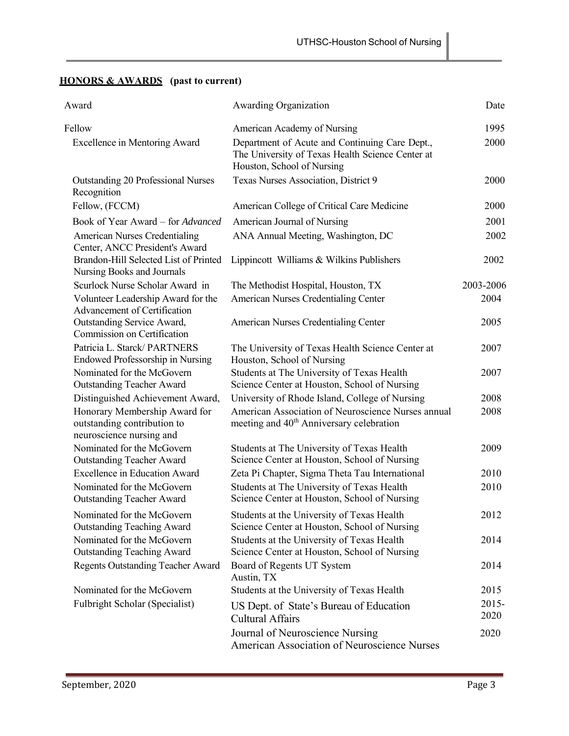# **HONORS & AWARDS (past to current)**

| Award                                                                                    | Awarding Organization                                                                                                            | Date      |
|------------------------------------------------------------------------------------------|----------------------------------------------------------------------------------------------------------------------------------|-----------|
| Fellow                                                                                   | American Academy of Nursing                                                                                                      | 1995      |
| <b>Excellence in Mentoring Award</b>                                                     | Department of Acute and Continuing Care Dept.,<br>The University of Texas Health Science Center at<br>Houston, School of Nursing | 2000      |
| Outstanding 20 Professional Nurses<br>Recognition                                        | Texas Nurses Association, District 9                                                                                             | 2000      |
| Fellow, (FCCM)                                                                           | American College of Critical Care Medicine                                                                                       | 2000      |
| Book of Year Award - for Advanced                                                        | American Journal of Nursing                                                                                                      | 2001      |
| American Nurses Credentialing<br>Center, ANCC President's Award                          | ANA Annual Meeting, Washington, DC                                                                                               | 2002      |
| Brandon-Hill Selected List of Printed<br>Nursing Books and Journals                      | Lippincott Williams & Wilkins Publishers                                                                                         | 2002      |
| Scurlock Nurse Scholar Award in                                                          | The Methodist Hospital, Houston, TX                                                                                              | 2003-2006 |
| Volunteer Leadership Award for the<br>Advancement of Certification                       | American Nurses Credentialing Center                                                                                             | 2004      |
| Outstanding Service Award,<br>Commission on Certification                                | American Nurses Credentialing Center                                                                                             | 2005      |
| Patricia L. Starck/ PARTNERS<br><b>Endowed Professorship in Nursing</b>                  | The University of Texas Health Science Center at<br>Houston, School of Nursing                                                   | 2007      |
| Nominated for the McGovern<br><b>Outstanding Teacher Award</b>                           | Students at The University of Texas Health<br>Science Center at Houston, School of Nursing                                       | 2007      |
| Distinguished Achievement Award,                                                         | University of Rhode Island, College of Nursing                                                                                   | 2008      |
| Honorary Membership Award for<br>outstanding contribution to<br>neuroscience nursing and | American Association of Neuroscience Nurses annual<br>meeting and 40 <sup>th</sup> Anniversary celebration                       | 2008      |
| Nominated for the McGovern<br><b>Outstanding Teacher Award</b>                           | Students at The University of Texas Health<br>Science Center at Houston, School of Nursing                                       | 2009      |
| <b>Excellence in Education Award</b>                                                     | Zeta Pi Chapter, Sigma Theta Tau International                                                                                   | 2010      |
| Nominated for the McGovern<br><b>Outstanding Teacher Award</b>                           | Students at The University of Texas Health<br>Science Center at Houston, School of Nursing                                       | 2010      |
| Nominated for the McGovern<br><b>Outstanding Teaching Award</b>                          | Students at the University of Texas Health<br>Science Center at Houston, School of Nursing                                       | 2012      |
| Nominated for the McGovern<br><b>Outstanding Teaching Award</b>                          | Students at the University of Texas Health<br>Science Center at Houston, School of Nursing                                       | 2014      |
| <b>Regents Outstanding Teacher Award</b>                                                 | Board of Regents UT System<br>Austin, TX                                                                                         | 2014      |
| Nominated for the McGovern                                                               | Students at the University of Texas Health                                                                                       | 2015      |
| Fulbright Scholar (Specialist)                                                           | US Dept. of State's Bureau of Education                                                                                          | $2015 -$  |
|                                                                                          | <b>Cultural Affairs</b>                                                                                                          | 2020      |
|                                                                                          | Journal of Neuroscience Nursing<br>American Association of Neuroscience Nurses                                                   | 2020      |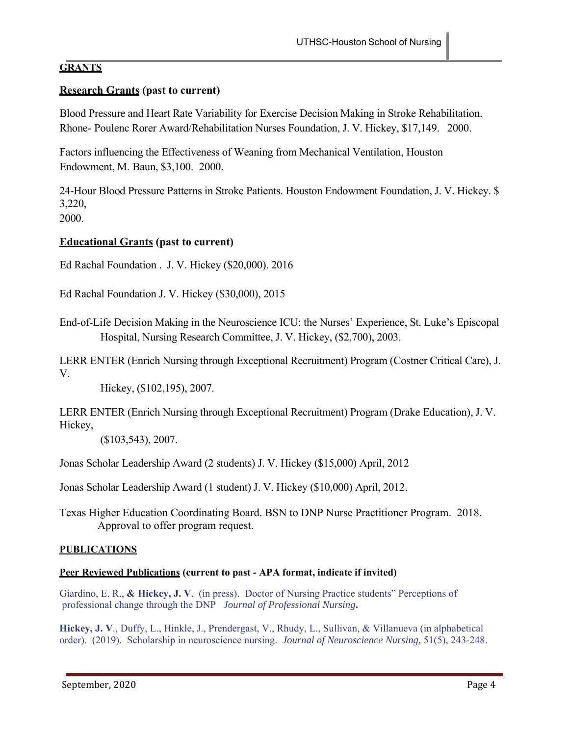## **GRANTS**

# **Research Grants (past to current)**

Blood Pressure and Heart Rate Variability for Exercise Decision Making in Stroke Rehabilitation. Rhone- Poulenc Rorer Award/Rehabilitation Nurses Foundation, J. V. Hickey, \$17,149. 2000.

Factors influencing the Effectiveness of Weaning from Mechanical Ventilation, Houston Endowment, M. Baun, \$3,100. 2000.

24-Hour Blood Pressure Patterns in Stroke Patients. Houston Endowment Foundation, J. V. Hickey. \$ 3,220,

2000.

# **Educational Grants (past to current)**

Ed Rachal Foundation . J. V. Hickey (\$20,000). 2016

Ed Rachal Foundation J. V. Hickey (\$30,000), 2015

End-of-Life Decision Making in the Neuroscience ICU: the Nurses' Experience, St. Luke's Episcopal Hospital, Nursing Research Committee, J. V. Hickey, (\$2,700), 2003.

LERR ENTER (Enrich Nursing through Exceptional Recruitment) Program (Costner Critical Care), J. V.

Hickey, (\$102,195), 2007.

LERR ENTER (Enrich Nursing through Exceptional Recruitment) Program (Drake Education), J. V. Hickey,

(\$103,543), 2007.

Jonas Scholar Leadership Award (2 students) J. V. Hickey (\$15,000) April, 2012

Jonas Scholar Leadership Award (1 student) J. V. Hickey (\$10,000) April, 2012.

Texas Higher Education Coordinating Board. BSN to DNP Nurse Practitioner Program. 2018. Approval to offer program request.

## **PUBLICATIONS**

## **Peer Reviewed Publications (current to past - APA format, indicate if invited)**

Giardino, E. R., **& Hickey, J. V**. (in press). Doctor of Nursing Practice students" Perceptions of professional change through the DNP *Journal of Professional Nursing***.** 

**Hickey, J. V**., Duffy, L., Hinkle, J., Prendergast, V., Rhudy, L., Sullivan, & Villanueva (in alphabetical order). (2019). Scholarship in neuroscience nursing. *Journal of Neuroscience Nursing,* 51(5), 243-248.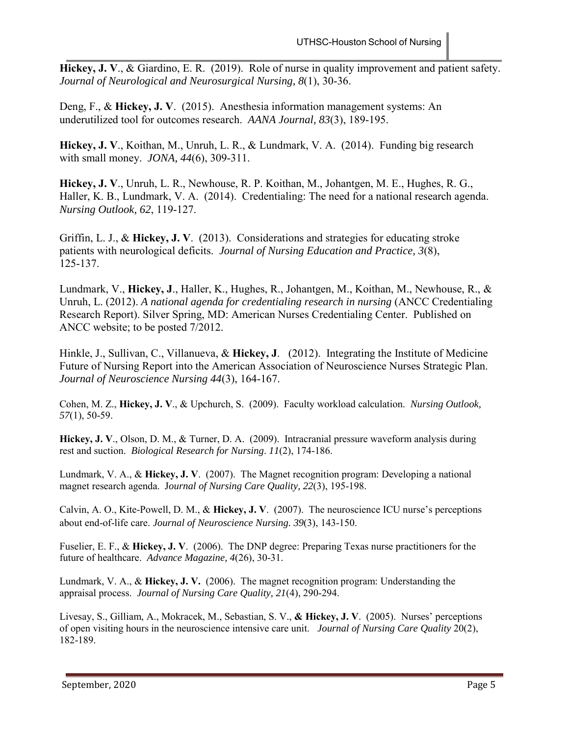**Hickey, J. V**., & Giardino, E. R. (2019). Role of nurse in quality improvement and patient safety. *Journal of Neurological and Neurosurgical Nursing, 8*(1), 30-36.

Deng, F., & **Hickey, J. V**. (2015). Anesthesia information management systems: An underutilized tool for outcomes research. *AANA Journal, 83*(3), 189-195.

**Hickey, J. V**., Koithan, M., Unruh, L. R., & Lundmark, V. A. (2014). Funding big research with small money. *JONA, 44*(6), 309-311.

**Hickey, J. V**., Unruh, L. R., Newhouse, R. P. Koithan, M., Johantgen, M. E., Hughes, R. G., Haller, K. B., Lundmark, V. A. (2014). Credentialing: The need for a national research agenda. *Nursing Outlook, 62*, 119-127.

Griffin, L. J., & **Hickey, J. V**. (2013). Considerations and strategies for educating stroke patients with neurological deficits. *Journal of Nursing Education and Practice, 3*(8), 125-137.

Lundmark, V., **Hickey, J**., Haller, K., Hughes, R., Johantgen, M., Koithan, M., Newhouse, R., & Unruh, L. (2012). *A national agenda for credentialing research in nursing* (ANCC Credentialing Research Report). Silver Spring, MD: American Nurses Credentialing Center. Published on ANCC website; to be posted 7/2012.

Hinkle, J., Sullivan, C., Villanueva, & **Hickey, J**. (2012). Integrating the Institute of Medicine Future of Nursing Report into the American Association of Neuroscience Nurses Strategic Plan. *Journal of Neuroscience Nursing 44*(3), 164-167.

Cohen, M. Z., **Hickey, J. V**., & Upchurch, S. (2009). Faculty workload calculation. *Nursing Outlook, 57*(1), 50-59.

**Hickey, J. V**., Olson, D. M., & Turner, D. A. (2009). Intracranial pressure waveform analysis during rest and suction. *Biological Research for Nursing*. *11*(2), 174-186.

Lundmark, V. A., & **Hickey, J. V**. (2007). The Magnet recognition program: Developing a national magnet research agenda. J*ournal of Nursing Care Quality, 22*(3), 195-198.

Calvin, A. O., Kite-Powell, D. M., & **Hickey, J. V**. (2007). The neuroscience ICU nurse's perceptions about end-of-life care. *Journal of Neuroscience Nursing. 39*(3), 143-150.

Fuselier, E. F., & **Hickey, J. V**. (2006). The DNP degree: Preparing Texas nurse practitioners for the future of healthcare. *Advance Magazine, 4*(26), 30-31.

Lundmark, V. A., & **Hickey, J. V.** (2006). The magnet recognition program: Understanding the appraisal process. *Journal of Nursing Care Quality, 21*(4), 290-294.

Livesay, S., Gilliam, A., Mokracek, M., Sebastian, S. V., **& Hickey, J. V**. (2005). Nurses' perceptions of open visiting hours in the neuroscience intensive care unit. *Journal of Nursing Care Quality* 20(2), 182-189.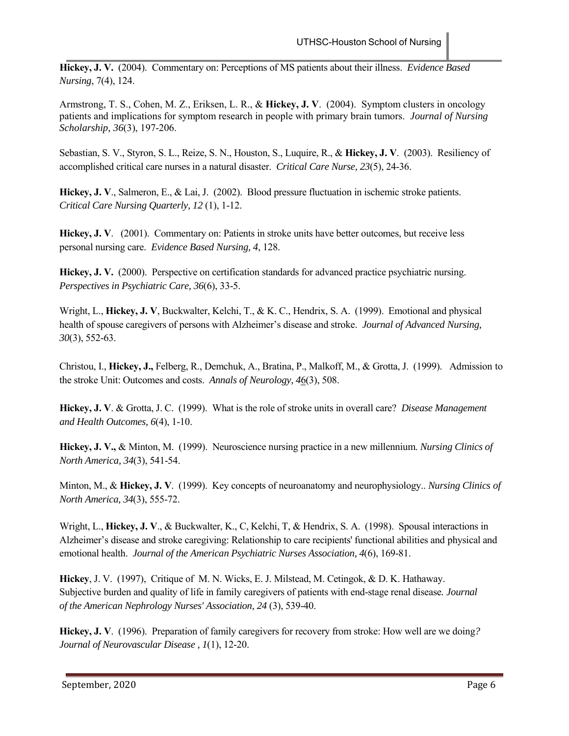**Hickey, J. V.** (2004). Commentary on: Perceptions of MS patients about their illness. *Evidence Based Nursing*, 7(4), 124.

Armstrong, T. S., Cohen, M. Z., Eriksen, L. R., & **Hickey, J. V**. (2004). Symptom clusters in oncology patients and implications for symptom research in people with primary brain tumors. *Journal of Nursing Scholarship, 36*(3), 197-206.

Sebastian, S. V., Styron, S. L., Reize, S. N., Houston, S., Luquire, R., & **Hickey, J. V**. (2003). Resiliency of accomplished critical care nurses in a natural disaster. *Critical Care Nurse, 23*(5), 24-36.

**Hickey, J. V**., Salmeron, E., & Lai, J. (2002). Blood pressure fluctuation in ischemic stroke patients. *Critical Care Nursing Quarterly, 12* (1), 1-12.

**Hickey, J. V**. (2001). Commentary on: Patients in stroke units have better outcomes, but receive less personal nursing care. *Evidence Based Nursing, 4*, 128.

**Hickey, J. V.** (2000). Perspective on certification standards for advanced practice psychiatric nursing. *Perspectives in Psychiatric Care, 36*(6), 33-5.

Wright, L., **Hickey, J. V**, Buckwalter, Kelchi, T., & K. C., Hendrix, S. A. (1999). Emotional and physical health of spouse caregivers of persons with Alzheimer's disease and stroke. *Journal of Advanced Nursing, 30*(3), 552-63.

Christou, I., **Hickey, J.,** Felberg, R., Demchuk, A., Bratina, P., Malkoff, M., & Grotta, J. (1999). Admission to the stroke Unit: Outcomes and costs. *Annals of Neurology, 4*6(3), 508.

**Hickey, J. V**. & Grotta, J. C. (1999). What is the role of stroke units in overall care? *Disease Management and Health Outcomes, 6*(4), 1-10.

**Hickey, J. V.,** & Minton, M. (1999). Neuroscience nursing practice in a new millennium. *Nursing Clinics of North America, 34*(3), 541-54.

Minton, M., & **Hickey, J. V**. (1999). Key concepts of neuroanatomy and neurophysiology.. *Nursing Clinics of North America, 34*(3), 555-72.

Wright, L., **Hickey, J. V**., & Buckwalter, K., C, Kelchi, T, & Hendrix, S. A. (1998). Spousal interactions in Alzheimer's disease and stroke caregiving: Relationship to care recipients' functional abilities and physical and emotional health. *Journal of the American Psychiatric Nurses Association, 4*(6), 169-81.

**Hickey**, J. V. (1997), Critique of M. N. Wicks, E. J. Milstead, M. Cetingok, & D. K. Hathaway. Subjective burden and quality of life in family caregivers of patients with end-stage renal disease*. Journal of the American Nephrology Nurses' Association, 24* (3), 539-40.

**Hickey, J. V**. (1996). Preparation of family caregivers for recovery from stroke: How well are we doing*? Journal of Neurovascular Disease , 1*(1), 12-20.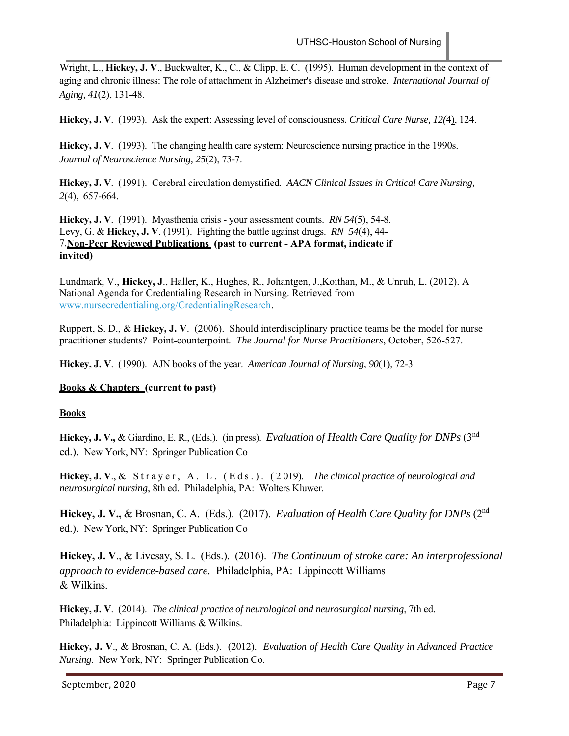Wright, L., **Hickey, J. V**., Buckwalter, K., C., & Clipp, E. C. (1995). Human development in the context of aging and chronic illness: The role of attachment in Alzheimer's disease and stroke. *International Journal of Aging, 41*(2), 131-48.

**Hickey, J. V**. (1993). Ask the expert: Assessing level of consciousness*. Critical Care Nurse, 12(*4), 124.

**Hickey, J. V**. (1993). The changing health care system: Neuroscience nursing practice in the 1990s. *Journal of Neuroscience Nursing, 25*(2), 73-7.

**Hickey, J. V**. (1991). Cerebral circulation demystified. *AACN Clinical Issues in Critical Care Nursing, 2*(4), 657-664.

**Hickey, J. V**. (1991). Myasthenia crisis - your assessment counts. *RN 54*(5), 54-8. Levy, G. & **Hickey, J. V**. (1991). Fighting the battle against drugs. *RN 54*(4), 44- 7.**Non-Peer Reviewed Publications (past to current - APA format, indicate if invited)**

Lundmark, V., **Hickey, J**., Haller, K., Hughes, R., Johantgen, J.,Koithan, M., & Unruh, L. (2012). A National Agenda for Credentialing Research in Nursing. Retrieved from www.nursecredentialing.org/CredentialingResearch.

Ruppert, S. D., & **Hickey, J. V**. (2006). Should interdisciplinary practice teams be the model for nurse practitioner students? Point-counterpoint. *The Journal for Nurse Practitioners*, October, 526-527.

**Hickey, J. V**. (1990). AJN books of the year. *American Journal of Nursing, 90*(1), 72-3

## **Books & Chapters (current to past)**

## **Books**

**Hickey, J. V.,** & Giardino, E. R., (Eds.). (in press). *Evaluation of Health Care Quality for DNPs* (3nd ed.). New York, NY: Springer Publication Co

Hickey, J. V., & Strayer, A. L. (Eds.). (2019). *The clinical practice of neurological and neurosurgical nursing*, 8th ed. Philadelphia, PA: Wolters Kluwer.

**Hickey, J. V.,** & Brosnan, C. A. (Eds.). (2017). *Evaluation of Health Care Quality for DNPs* (2nd ed.). New York, NY: Springer Publication Co

**Hickey, J. V**., & Livesay, S. L. (Eds.). (2016). *The Continuum of stroke care: An interprofessional approach to evidence-based care.* Philadelphia, PA: Lippincott Williams & Wilkins.

**Hickey, J. V**. (2014). *The clinical practice of neurological and neurosurgical nursing*, 7th ed. Philadelphia: Lippincott Williams & Wilkins.

**Hickey, J. V**., & Brosnan, C. A. (Eds.). (2012). *Evaluation of Health Care Quality in Advanced Practice Nursing*. New York, NY: Springer Publication Co.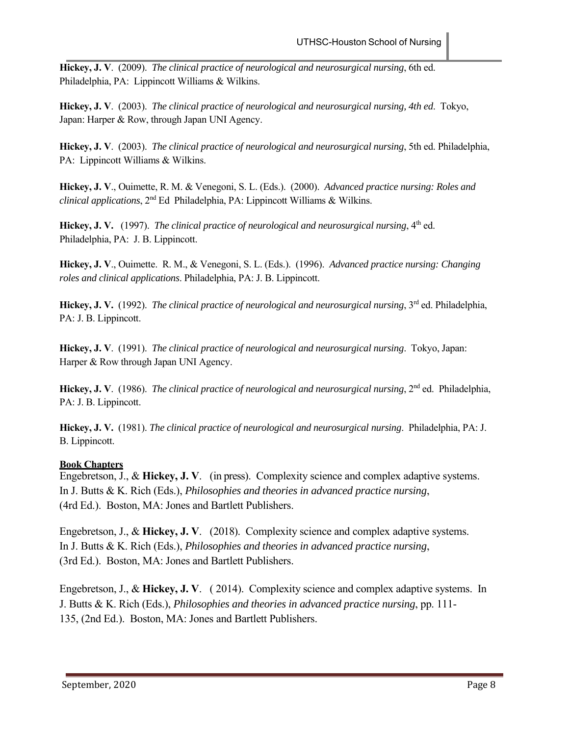**Hickey, J. V**. (2009). *The clinical practice of neurological and neurosurgical nursing*, 6th ed. Philadelphia, PA: Lippincott Williams & Wilkins.

**Hickey, J. V**. (2003). *The clinical practice of neurological and neurosurgical nursing, 4th ed*. Tokyo, Japan: Harper & Row, through Japan UNI Agency.

**Hickey, J. V**. (2003). *The clinical practice of neurological and neurosurgical nursing*, 5th ed. Philadelphia, PA: Lippincott Williams & Wilkins.

**Hickey, J. V**., Ouimette, R. M. & Venegoni, S. L. (Eds.). (2000). *Advanced practice nursing: Roles and clinical applications*, 2nd Ed Philadelphia, PA: Lippincott Williams & Wilkins.

Hickey, J. V. (1997). *The clinical practice of neurological and neurosurgical nursing*, 4<sup>th</sup> ed. Philadelphia, PA: J. B. Lippincott.

**Hickey, J. V**., Ouimette. R. M., & Venegoni, S. L. (Eds.). (1996). *Advanced practice nursing: Changing roles and clinical applications*. Philadelphia, PA: J. B. Lippincott.

**Hickey, J. V.** (1992). *The clinical practice of neurological and neurosurgical nursing*, 3rd ed. Philadelphia, PA: J. B. Lippincott.

**Hickey, J. V**. (1991). *The clinical practice of neurological and neurosurgical nursing*. Tokyo, Japan: Harper & Row through Japan UNI Agency.

Hickey, J. V. (1986). *The clinical practice of neurological and neurosurgical nursing*, 2<sup>nd</sup> ed. Philadelphia, PA: J. B. Lippincott.

**Hickey, J. V.** (1981). *The clinical practice of neurological and neurosurgical nursing*. Philadelphia, PA: J. B. Lippincott.

## **Book Chapters**

Engebretson, J., & **Hickey, J. V**. (in press). Complexity science and complex adaptive systems. In J. Butts & K. Rich (Eds.), *Philosophies and theories in advanced practice nursing*, (4rd Ed.). Boston, MA: Jones and Bartlett Publishers.

Engebretson, J., & **Hickey, J. V**. (2018). Complexity science and complex adaptive systems. In J. Butts & K. Rich (Eds.), *Philosophies and theories in advanced practice nursing*, (3rd Ed.). Boston, MA: Jones and Bartlett Publishers.

Engebretson, J., & **Hickey, J. V**. ( 2014). Complexity science and complex adaptive systems. In J. Butts & K. Rich (Eds.), *Philosophies and theories in advanced practice nursing*, pp. 111- 135, (2nd Ed.). Boston, MA: Jones and Bartlett Publishers.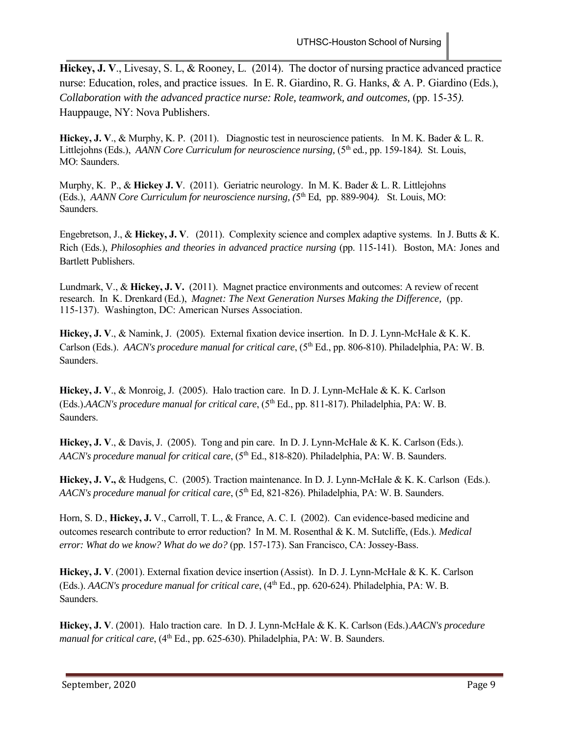**Hickey, J. V**., Livesay, S. L, & Rooney, L. (2014). The doctor of nursing practice advanced practice nurse: Education, roles, and practice issues. In E. R. Giardino, R. G. Hanks, & A. P. Giardino (Eds.), *Collaboration with the advanced practice nurse: Role, teamwork, and outcomes, (pp. 15-35).* Hauppauge, NY: Nova Publishers.

**Hickey, J. V**., & Murphy, K. P. (2011). Diagnostic test in neuroscience patients. In M. K. Bader & L. R. Littlejohns (Eds.), *AANN Core Curriculum for neuroscience nursing,* (5<sup>th</sup> ed., pp. 159-184). St. Louis, MO: Saunders.

Murphy, K. P., & **Hickey J. V**. (2011). Geriatric neurology. In M. K. Bader & L. R. Littlejohns (Eds.), *AANN Core Curriculum for neuroscience nursing, (5<sup>th</sup> Ed, pp. 889-904). St. Louis, MO:* Saunders.

Engebretson, J., & **Hickey, J. V**. (2011). Complexity science and complex adaptive systems. In J. Butts & K. Rich (Eds.), *Philosophies and theories in advanced practice nursing* (pp. 115-141). Boston, MA: Jones and Bartlett Publishers.

Lundmark, V., & **Hickey, J. V.** (2011). Magnet practice environments and outcomes: A review of recent research. In K. Drenkard (Ed.), *Magnet: The Next Generation Nurses Making the Difference,* (pp. 115-137). Washington, DC: American Nurses Association.

**Hickey, J. V**., & Namink, J. (2005). External fixation device insertion. In D. J. Lynn-McHale & K. K. Carlson (Eds.). *AACN's procedure manual for critical care*, (5<sup>th</sup> Ed., pp. 806-810). Philadelphia, PA: W. B. Saunders.

**Hickey, J. V**., & Monroig, J. (2005). Halo traction care. In D. J. Lynn-McHale & K. K. Carlson (Eds.).*AACN's procedure manual for critical care*, (5<sup>th</sup> Ed., pp. 811-817). Philadelphia, PA: W. B. Saunders.

**Hickey, J. V**., & Davis, J. (2005). Tong and pin care. In D. J. Lynn-McHale & K. K. Carlson (Eds.). *AACN's procedure manual for critical care*, (5<sup>th</sup> Ed., 818-820). Philadelphia, PA: W. B. Saunders.

**Hickey, J. V.,** & Hudgens, C. (2005). Traction maintenance. In D. J. Lynn-McHale & K. K. Carlson (Eds.). *AACN's procedure manual for critical care*, (5<sup>th</sup> Ed, 821-826). Philadelphia, PA: W. B. Saunders.

Horn, S. D., **Hickey, J.** V., Carroll, T. L., & France, A. C. I. (2002). Can evidence-based medicine and outcomes research contribute to error reduction? In M. M. Rosenthal & K. M. Sutcliffe, (Eds.). *Medical error: What do we know? What do we do?* (pp. 157-173). San Francisco, CA: Jossey-Bass.

**Hickey, J. V**. (2001). External fixation device insertion (Assist). In D. J. Lynn-McHale & K. K. Carlson (Eds.). *AACN's procedure manual for critical care*, (4th Ed., pp. 620-624). Philadelphia, PA: W. B. Saunders.

**Hickey, J. V**. (2001). Halo traction care. In D. J. Lynn-McHale & K. K. Carlson (Eds.).*AACN's procedure manual for critical care*, (4<sup>th</sup> Ed., pp. 625-630). Philadelphia, PA: W. B. Saunders.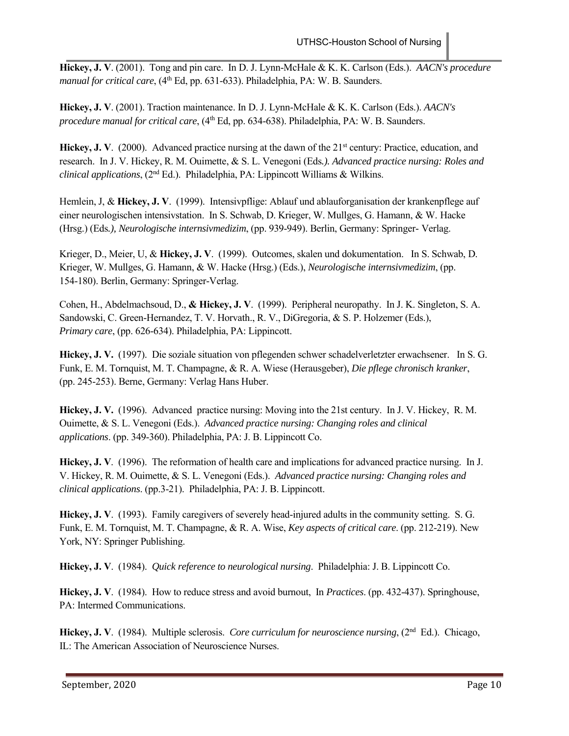**Hickey, J. V**. (2001). Tong and pin care. In D. J. Lynn-McHale & K. K. Carlson (Eds.). *AACN's procedure manual for critical care*, (4<sup>th</sup> Ed, pp. 631-633). Philadelphia, PA: W. B. Saunders.

**Hickey, J. V**. (2001). Traction maintenance. In D. J. Lynn-McHale & K. K. Carlson (Eds.). *AACN's procedure manual for critical care*, (4th Ed, pp. 634-638). Philadelphia, PA: W. B. Saunders.

Hickey, J. V. (2000). Advanced practice nursing at the dawn of the 21<sup>st</sup> century: Practice, education, and research. In J. V. Hickey, R. M. Ouimette, & S. L. Venegoni (Eds*.). Advanced practice nursing: Roles and clinical applications*, (2nd Ed.). Philadelphia, PA: Lippincott Williams & Wilkins.

Hemlein, J, & **Hickey, J. V**. (1999). Intensivpflige: Ablauf und ablauforganisation der krankenpflege auf einer neurologischen intensivstation. In S. Schwab, D. Krieger, W. Mullges, G. Hamann, & W. Hacke (Hrsg.) (Eds*.), Neurologische internsivmedizim*, (pp. 939-949). Berlin, Germany: Springer- Verlag.

Krieger, D., Meier, U, & **Hickey, J. V**. (1999). Outcomes, skalen und dokumentation. In S. Schwab, D. Krieger, W. Mullges, G. Hamann, & W. Hacke (Hrsg.) (Eds.), *Neurologische internsivmedizim*, (pp. 154-180). Berlin, Germany: Springer-Verlag.

Cohen, H., Abdelmachsoud, D., **& Hickey, J. V**. (1999). Peripheral neuropathy. In J. K. Singleton, S. A. Sandowski, C. Green-Hernandez, T. V. Horvath., R. V., DiGregoria, & S. P. Holzemer (Eds.), *Primary care*, (pp. 626-634). Philadelphia, PA: Lippincott.

**Hickey, J. V.** (1997). Die soziale situation von pflegenden schwer schadelverletzter erwachsener. In S. G. Funk, E. M. Tornquist, M. T. Champagne, & R. A. Wiese (Herausgeber), *Die pflege chronisch kranker*, (pp. 245-253). Berne, Germany: Verlag Hans Huber.

**Hickey, J. V.** (1996). Advanced practice nursing: Moving into the 21st century. In J. V. Hickey, R. M. Ouimette, & S. L. Venegoni (Eds.). *Advanced practice nursing: Changing roles and clinical applications*. (pp. 349-360). Philadelphia, PA: J. B. Lippincott Co.

**Hickey, J. V**. (1996). The reformation of health care and implications for advanced practice nursing. In J. V. Hickey, R. M. Ouimette, & S. L. Venegoni (Eds.). *Advanced practice nursing: Changing roles and clinical applications*. (pp.3-21). Philadelphia, PA: J. B. Lippincott.

**Hickey, J. V**. (1993). Family caregivers of severely head-injured adults in the community setting. S. G. Funk, E. M. Tornquist, M. T. Champagne, & R. A. Wise, *Key aspects of critical care*. (pp. 212-219). New York, NY: Springer Publishing.

**Hickey, J. V**. (1984). *Quick reference to neurological nursing*. Philadelphia: J. B. Lippincott Co.

**Hickey, J. V**. (1984). How to reduce stress and avoid burnout, In *Practices*. (pp. 432-437). Springhouse, PA: Intermed Communications.

**Hickey, J. V**. (1984). Multiple sclerosis. *Core curriculum for neuroscience nursing*, (2nd Ed.). Chicago, IL: The American Association of Neuroscience Nurses.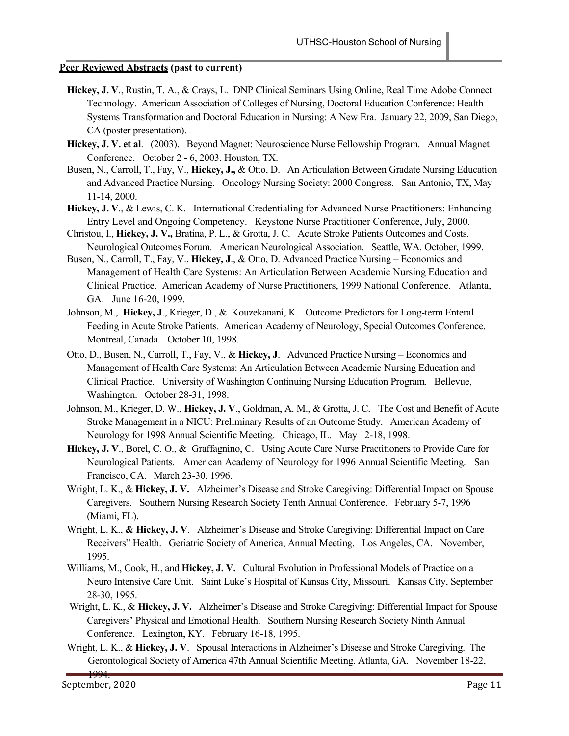## **Peer Reviewed Abstracts (past to current)**

- **Hickey, J. V**., Rustin, T. A., & Crays, L. DNP Clinical Seminars Using Online, Real Time Adobe Connect Technology. American Association of Colleges of Nursing, Doctoral Education Conference: Health Systems Transformation and Doctoral Education in Nursing: A New Era. January 22, 2009, San Diego, CA (poster presentation).
- **Hickey, J. V. et al**. (2003). Beyond Magnet: Neuroscience Nurse Fellowship Program. Annual Magnet Conference. October 2 - 6, 2003, Houston, TX.
- Busen, N., Carroll, T., Fay, V., **Hickey, J.,** & Otto, D. An Articulation Between Gradate Nursing Education and Advanced Practice Nursing. Oncology Nursing Society: 2000 Congress. San Antonio, TX, May 11-14, 2000.
- **Hickey, J. V**., & Lewis, C. K. International Credentialing for Advanced Nurse Practitioners: Enhancing Entry Level and Ongoing Competency. Keystone Nurse Practitioner Conference, July, 2000.
- Christou, I., **Hickey, J. V.,** Bratina, P. L., & Grotta, J. C. Acute Stroke Patients Outcomes and Costs. Neurological Outcomes Forum. American Neurological Association. Seattle, WA. October, 1999.
- Busen, N., Carroll, T., Fay, V., **Hickey, J**., & Otto, D. Advanced Practice Nursing Economics and Management of Health Care Systems: An Articulation Between Academic Nursing Education and Clinical Practice. American Academy of Nurse Practitioners, 1999 National Conference. Atlanta, GA. June 16-20, 1999.
- Johnson, M., **Hickey, J**., Krieger, D., & Kouzekanani, K. Outcome Predictors for Long-term Enteral Feeding in Acute Stroke Patients. American Academy of Neurology, Special Outcomes Conference. Montreal, Canada. October 10, 1998.
- Otto, D., Busen, N., Carroll, T., Fay, V., & **Hickey, J**. Advanced Practice Nursing Economics and Management of Health Care Systems: An Articulation Between Academic Nursing Education and Clinical Practice. University of Washington Continuing Nursing Education Program. Bellevue, Washington. October 28-31, 1998.
- Johnson, M., Krieger, D. W., **Hickey, J. V**., Goldman, A. M., & Grotta, J. C. The Cost and Benefit of Acute Stroke Management in a NICU: Preliminary Results of an Outcome Study. American Academy of Neurology for 1998 Annual Scientific Meeting. Chicago, IL. May 12-18, 1998.
- **Hickey, J. V**., Borel, C. O., & Graffagnino, C. Using Acute Care Nurse Practitioners to Provide Care for Neurological Patients. American Academy of Neurology for 1996 Annual Scientific Meeting. San Francisco, CA. March 23-30, 1996.
- Wright, L. K., & **Hickey, J. V.** Alzheimer's Disease and Stroke Caregiving: Differential Impact on Spouse Caregivers. Southern Nursing Research Society Tenth Annual Conference. February 5-7, 1996 (Miami, FL).
- Wright, L. K., **& Hickey, J. V**. Alzheimer's Disease and Stroke Caregiving: Differential Impact on Care Receivers" Health. Geriatric Society of America, Annual Meeting. Los Angeles, CA. November, 1995.
- Williams, M., Cook, H., and **Hickey, J. V.** Cultural Evolution in Professional Models of Practice on a Neuro Intensive Care Unit. Saint Luke's Hospital of Kansas City, Missouri. Kansas City, September 28-30, 1995.
- Wright, L. K., & **Hickey, J. V.** Alzheimer's Disease and Stroke Caregiving: Differential Impact for Spouse Caregivers' Physical and Emotional Health. Southern Nursing Research Society Ninth Annual Conference. Lexington, KY. February 16-18, 1995.
- Wright, L. K., & **Hickey, J. V**. Spousal Interactions in Alzheimer's Disease and Stroke Caregiving. The Gerontological Society of America 47th Annual Scientific Meeting. Atlanta, GA. November 18-22,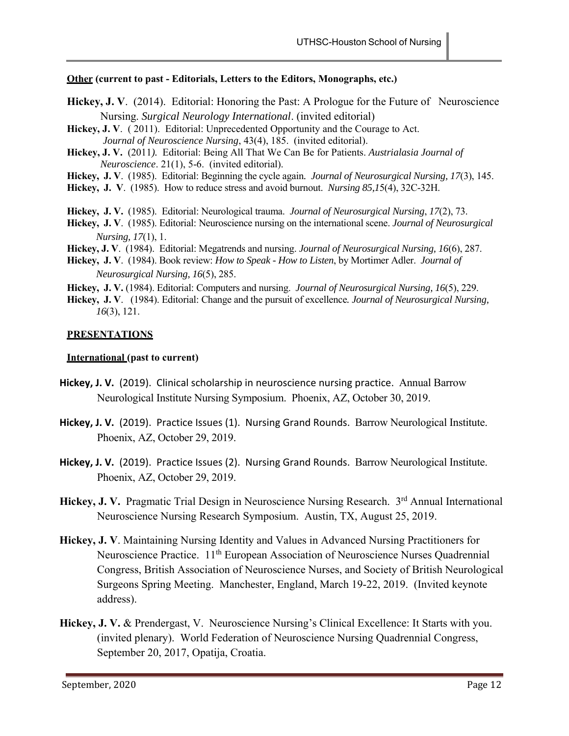## **Other (current to past - Editorials, Letters to the Editors, Monographs, etc.)**

- **Hickey, J. V**. (2014). Editorial: Honoring the Past: A Prologue for the Future of Neuroscience Nursing. *Surgical Neurology International*. (invited editorial)
- **Hickey, J. V**. ( 2011). Editorial: Unprecedented Opportunity and the Courage to Act. *Journal of Neuroscience Nursing*, 43(4), 185. (invited editorial).
- **Hickey, J. V.** (2011*).* Editorial: Being All That We Can Be for Patients. *Austrialasia Journal of Neuroscience*. 21(1), 5-6. (invited editorial).
- **Hickey, J. V**. (1985). Editorial: Beginning the cycle again*. Journal of Neurosurgical Nursing, 17*(3), 145.
- **Hickey, J. V**. (1985). How to reduce stress and avoid burnout. *Nursing 85,1*5(4), 32C-32H.

**Hickey, J. V.** (1985). Editorial: Neurological trauma. *Journal of Neurosurgical Nursing*, *17*(2), 73.

**Hickey, J. V**. (1985). Editorial: Neuroscience nursing on the international scene. *Journal of Neurosurgical Nursing, 17*(1), 1.

**Hickey, J. V**. (1984). Editorial: Megatrends and nursing. *Journal of Neurosurgical Nursing, 16*(6), 287.

- **Hickey, J. V**. (1984). Book review: *How to Speak How to Listen*, by Mortimer Adler. *Journal of Neurosurgical Nursing, 16*(5), 285.
- **Hickey, J. V.** (1984). Editorial: Computers and nursing. *Journal of Neurosurgical Nursing, 16*(5), 229.
- **Hickey, J. V**. (1984). Editorial: Change and the pursuit of excellence*. Journal of Neurosurgical Nursing, 16*(3), 121.

## **PRESENTATIONS**

## **International (past to current)**

- Hickey, J. V. (2019). Clinical scholarship in neuroscience nursing practice. Annual Barrow Neurological Institute Nursing Symposium. Phoenix, AZ, October 30, 2019.
- Hickey, J. V. (2019). Practice Issues (1). Nursing Grand Rounds. Barrow Neurological Institute. Phoenix, AZ, October 29, 2019.
- Hickey, J. V. (2019). Practice Issues (2). Nursing Grand Rounds. Barrow Neurological Institute. Phoenix, AZ, October 29, 2019.
- Hickey, J. V. Pragmatic Trial Design in Neuroscience Nursing Research. 3<sup>rd</sup> Annual International Neuroscience Nursing Research Symposium. Austin, TX, August 25, 2019.
- **Hickey, J. V**. Maintaining Nursing Identity and Values in Advanced Nursing Practitioners for Neuroscience Practice. 11<sup>th</sup> European Association of Neuroscience Nurses Quadrennial Congress, British Association of Neuroscience Nurses, and Society of British Neurological Surgeons Spring Meeting. Manchester, England, March 19-22, 2019. (Invited keynote address).
- **Hickey, J. V.** & Prendergast, V. Neuroscience Nursing's Clinical Excellence: It Starts with you. (invited plenary). World Federation of Neuroscience Nursing Quadrennial Congress, September 20, 2017, Opatija, Croatia.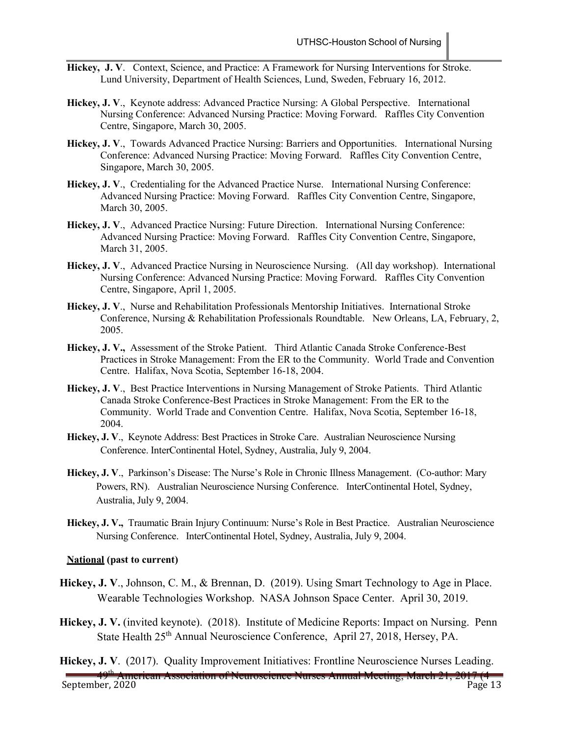- **Hickey, J. V**. Context, Science, and Practice: A Framework for Nursing Interventions for Stroke. Lund University, Department of Health Sciences, Lund, Sweden, February 16, 2012.
- **Hickey, J. V**., Keynote address: Advanced Practice Nursing: A Global Perspective. International Nursing Conference: Advanced Nursing Practice: Moving Forward. Raffles City Convention Centre, Singapore, March 30, 2005.
- **Hickey, J. V**., Towards Advanced Practice Nursing: Barriers and Opportunities. International Nursing Conference: Advanced Nursing Practice: Moving Forward. Raffles City Convention Centre, Singapore, March 30, 2005.
- Hickey, J. V., Credentialing for the Advanced Practice Nurse. International Nursing Conference: Advanced Nursing Practice: Moving Forward. Raffles City Convention Centre, Singapore, March 30, 2005.
- **Hickey, J. V**., Advanced Practice Nursing: Future Direction. International Nursing Conference: Advanced Nursing Practice: Moving Forward. Raffles City Convention Centre, Singapore, March 31, 2005.
- **Hickey, J. V**., Advanced Practice Nursing in Neuroscience Nursing. (All day workshop). International Nursing Conference: Advanced Nursing Practice: Moving Forward. Raffles City Convention Centre, Singapore, April 1, 2005.
- **Hickey, J. V**., Nurse and Rehabilitation Professionals Mentorship Initiatives. International Stroke Conference, Nursing & Rehabilitation Professionals Roundtable. New Orleans, LA, February, 2, 2005.
- **Hickey, J. V.,** Assessment of the Stroke Patient. Third Atlantic Canada Stroke Conference-Best Practices in Stroke Management: From the ER to the Community. World Trade and Convention Centre. Halifax, Nova Scotia, September 16-18, 2004.
- **Hickey, J. V**., Best Practice Interventions in Nursing Management of Stroke Patients. Third Atlantic Canada Stroke Conference-Best Practices in Stroke Management: From the ER to the Community. World Trade and Convention Centre. Halifax, Nova Scotia, September 16-18, 2004.
- **Hickey, J. V**., Keynote Address: Best Practices in Stroke Care. Australian Neuroscience Nursing Conference. InterContinental Hotel, Sydney, Australia, July 9, 2004.
- **Hickey, J. V**., Parkinson's Disease: The Nurse's Role in Chronic Illness Management. (Co-author: Mary Powers, RN). Australian Neuroscience Nursing Conference. InterContinental Hotel, Sydney, Australia, July 9, 2004.
- **Hickey, J. V.,** Traumatic Brain Injury Continuum: Nurse's Role in Best Practice. Australian Neuroscience Nursing Conference. InterContinental Hotel, Sydney, Australia, July 9, 2004.

#### **National (past to current)**

- **Hickey, J. V**., Johnson, C. M., & Brennan, D.(2019). Using Smart Technology to Age in Place. Wearable Technologies Workshop. NASA Johnson Space Center. April 30, 2019.
- **Hickey, J. V.** (invited keynote). (2018). Institute of Medicine Reports: Impact on Nursing. Penn State Health 25<sup>th</sup> Annual Neuroscience Conference, April 27, 2018, Hersey, PA.
- **Hickey, J. V**. (2017). Quality Improvement Initiatives: Frontline Neuroscience Nurses Leading.

ean Association of Neuroscience Nurses Annual Meeting, March 21, 2

September, 2020 Page 13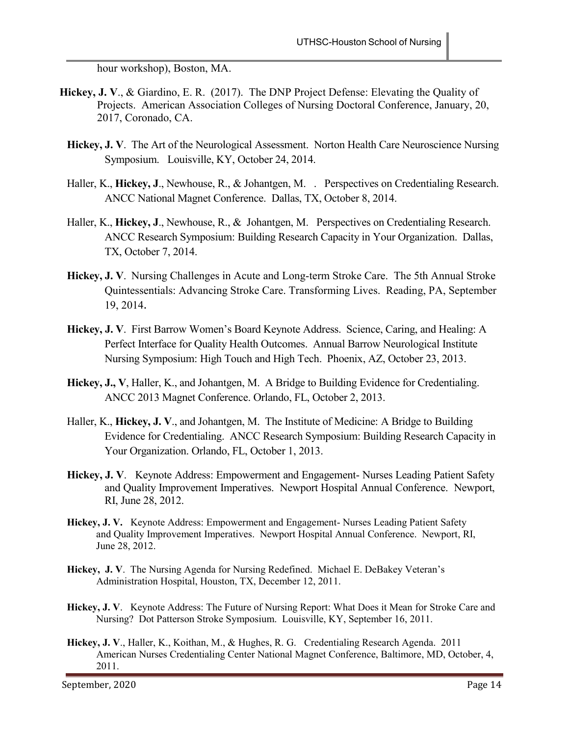hour workshop), Boston, MA.

- **Hickey, J. V**., & Giardino, E. R. (2017). The DNP Project Defense: Elevating the Quality of Projects. American Association Colleges of Nursing Doctoral Conference, January, 20, 2017, Coronado, CA.
	- Hickey, J. V. The Art of the Neurological Assessment. Norton Health Care Neuroscience Nursing Symposium. Louisville, KY, October 24, 2014.
	- Haller, K., **Hickey, J**., Newhouse, R., & Johantgen, M. . Perspectives on Credentialing Research. ANCC National Magnet Conference. Dallas, TX, October 8, 2014.
	- Haller, K., **Hickey, J**., Newhouse, R., & Johantgen, M. Perspectives on Credentialing Research. ANCC Research Symposium: Building Research Capacity in Your Organization. Dallas, TX, October 7, 2014.
	- **Hickey, J. V**. Nursing Challenges in Acute and Long-term Stroke Care. The 5th Annual Stroke Quintessentials: Advancing Stroke Care. Transforming Lives. Reading, PA, September 19, 2014.
	- **Hickey, J. V**. First Barrow Women's Board Keynote Address. Science, Caring, and Healing: A Perfect Interface for Quality Health Outcomes. Annual Barrow Neurological Institute Nursing Symposium: High Touch and High Tech. Phoenix, AZ, October 23, 2013.
	- **Hickey, J., V**, Haller, K., and Johantgen, M. A Bridge to Building Evidence for Credentialing. ANCC 2013 Magnet Conference. Orlando, FL, October 2, 2013.
	- Haller, K., **Hickey, J. V**., and Johantgen, M. The Institute of Medicine: A Bridge to Building Evidence for Credentialing. ANCC Research Symposium: Building Research Capacity in Your Organization. Orlando, FL, October 1, 2013.
	- **Hickey, J. V**. Keynote Address: Empowerment and Engagement- Nurses Leading Patient Safety and Quality Improvement Imperatives. Newport Hospital Annual Conference. Newport, RI, June 28, 2012.
	- **Hickey, J. V.** Keynote Address: Empowerment and Engagement- Nurses Leading Patient Safety and Quality Improvement Imperatives. Newport Hospital Annual Conference. Newport, RI, June 28, 2012.
	- **Hickey, J. V**. The Nursing Agenda for Nursing Redefined. Michael E. DeBakey Veteran's Administration Hospital, Houston, TX, December 12, 2011.
	- **Hickey, J. V**. Keynote Address: The Future of Nursing Report: What Does it Mean for Stroke Care and Nursing? Dot Patterson Stroke Symposium. Louisville, KY, September 16, 2011.
	- **Hickey, J. V**., Haller, K., Koithan, M., & Hughes, R. G. Credentialing Research Agenda. 2011 American Nurses Credentialing Center National Magnet Conference, Baltimore, MD, October, 4, 2011.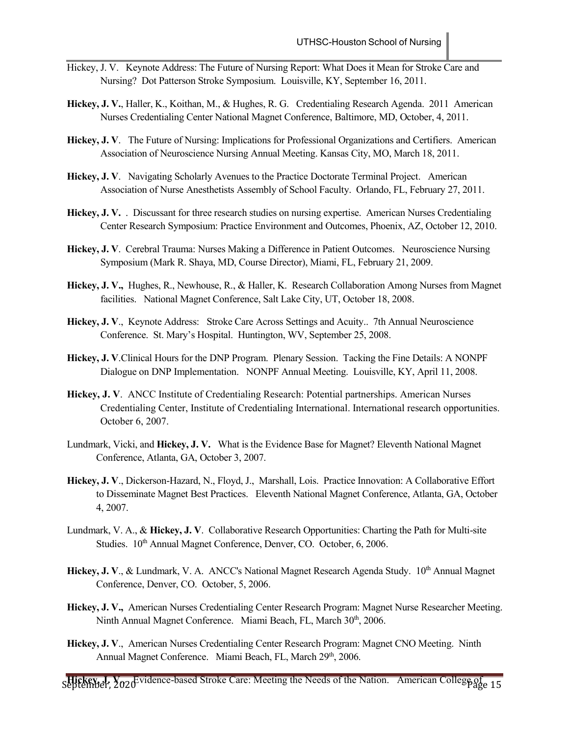- Hickey, J. V. Keynote Address: The Future of Nursing Report: What Does it Mean for Stroke Care and Nursing? Dot Patterson Stroke Symposium. Louisville, KY, September 16, 2011.
- **Hickey, J. V.**, Haller, K., Koithan, M., & Hughes, R. G. Credentialing Research Agenda. 2011 American Nurses Credentialing Center National Magnet Conference, Baltimore, MD, October, 4, 2011.
- **Hickey, J. V**. The Future of Nursing: Implications for Professional Organizations and Certifiers. American Association of Neuroscience Nursing Annual Meeting. Kansas City, MO, March 18, 2011.
- **Hickey, J. V**. Navigating Scholarly Avenues to the Practice Doctorate Terminal Project. American Association of Nurse Anesthetists Assembly of School Faculty. Orlando, FL, February 27, 2011.
- **Hickey, J. V.** . Discussant for three research studies on nursing expertise. American Nurses Credentialing Center Research Symposium: Practice Environment and Outcomes, Phoenix, AZ, October 12, 2010.
- **Hickey, J. V**. Cerebral Trauma: Nurses Making a Difference in Patient Outcomes. Neuroscience Nursing Symposium (Mark R. Shaya, MD, Course Director), Miami, FL, February 21, 2009.
- **Hickey, J. V.,** Hughes, R., Newhouse, R., & Haller, K. Research Collaboration Among Nurses from Magnet facilities. National Magnet Conference, Salt Lake City, UT, October 18, 2008.
- **Hickey, J. V**., Keynote Address: Stroke Care Across Settings and Acuity.. 7th Annual Neuroscience Conference. St. Mary's Hospital. Huntington, WV, September 25, 2008.
- **Hickey, J. V**.Clinical Hours for the DNP Program. Plenary Session. Tacking the Fine Details: A NONPF Dialogue on DNP Implementation. NONPF Annual Meeting. Louisville, KY, April 11, 2008.
- **Hickey, J. V**. ANCC Institute of Credentialing Research: Potential partnerships. American Nurses Credentialing Center, Institute of Credentialing International. International research opportunities. October 6, 2007.
- Lundmark, Vicki, and **Hickey, J. V.** What is the Evidence Base for Magnet? Eleventh National Magnet Conference, Atlanta, GA, October 3, 2007.
- **Hickey, J. V**., Dickerson-Hazard, N., Floyd, J., Marshall, Lois. Practice Innovation: A Collaborative Effort to Disseminate Magnet Best Practices. Eleventh National Magnet Conference, Atlanta, GA, October 4, 2007.
- Lundmark, V. A., & **Hickey, J. V**. Collaborative Research Opportunities: Charting the Path for Multi-site Studies. 10<sup>th</sup> Annual Magnet Conference, Denver, CO. October, 6, 2006.
- Hickey, J. V., & Lundmark, V. A. ANCC's National Magnet Research Agenda Study. 10<sup>th</sup> Annual Magnet Conference, Denver, CO. October, 5, 2006.
- **Hickey, J. V.,** American Nurses Credentialing Center Research Program: Magnet Nurse Researcher Meeting. Ninth Annual Magnet Conference. Miami Beach, FL, March 30<sup>th</sup>, 2006.
- **Hickey, J. V**., American Nurses Credentialing Center Research Program: Magnet CNO Meeting. Ninth Annual Magnet Conference. Miami Beach, FL, March 29th, 2006.

**Hickey, Yo2d** Vidence-based Stroke Care: Meeting the Needs of the Nation. American College of 15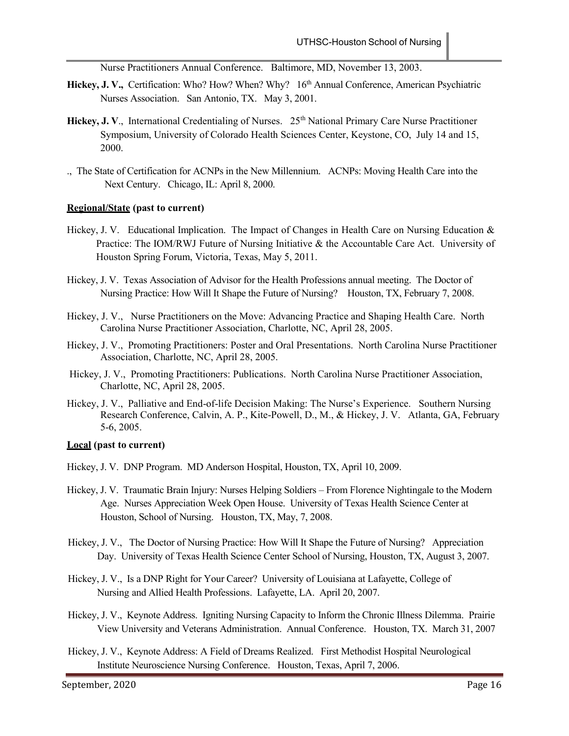Nurse Practitioners Annual Conference. Baltimore, MD, November 13, 2003.

- Hickey, J. V., Certification: Who? How? When? Why? 16<sup>th</sup> Annual Conference, American Psychiatric Nurses Association. San Antonio, TX. May 3, 2001.
- **Hickey, J. V., International Credentialing of Nurses.** 25<sup>th</sup> National Primary Care Nurse Practitioner Symposium, University of Colorado Health Sciences Center, Keystone, CO, July 14 and 15, 2000.
- ., The State of Certification for ACNPs in the New Millennium. ACNPs: Moving Health Care into the Next Century. Chicago, IL: April 8, 2000.

#### **Regional/State (past to current)**

- Hickey, J. V. Educational Implication. The Impact of Changes in Health Care on Nursing Education & Practice: The IOM/RWJ Future of Nursing Initiative & the Accountable Care Act. University of Houston Spring Forum, Victoria, Texas, May 5, 2011.
- Hickey, J. V. Texas Association of Advisor for the Health Professions annual meeting. The Doctor of Nursing Practice: How Will It Shape the Future of Nursing? Houston, TX, February 7, 2008.
- Hickey, J. V., Nurse Practitioners on the Move: Advancing Practice and Shaping Health Care. North Carolina Nurse Practitioner Association, Charlotte, NC, April 28, 2005.
- Hickey, J. V., Promoting Practitioners: Poster and Oral Presentations. North Carolina Nurse Practitioner Association, Charlotte, NC, April 28, 2005.
- Hickey, J. V., Promoting Practitioners: Publications. North Carolina Nurse Practitioner Association, Charlotte, NC, April 28, 2005.
- Hickey, J. V., Palliative and End-of-life Decision Making: The Nurse's Experience. Southern Nursing Research Conference, Calvin, A. P., Kite-Powell, D., M., & Hickey, J. V. Atlanta, GA, February 5-6, 2005.

#### **Local (past to current)**

- Hickey, J. V. DNP Program. MD Anderson Hospital, Houston, TX, April 10, 2009.
- Hickey, J. V. Traumatic Brain Injury: Nurses Helping Soldiers From Florence Nightingale to the Modern Age. Nurses Appreciation Week Open House. University of Texas Health Science Center at Houston, School of Nursing. Houston, TX, May, 7, 2008.
- Hickey, J. V., The Doctor of Nursing Practice: How Will It Shape the Future of Nursing? Appreciation Day. University of Texas Health Science Center School of Nursing, Houston, TX, August 3, 2007.
- Hickey, J. V., Is a DNP Right for Your Career? University of Louisiana at Lafayette, College of Nursing and Allied Health Professions. Lafayette, LA. April 20, 2007.
- Hickey, J. V., Keynote Address. Igniting Nursing Capacity to Inform the Chronic Illness Dilemma. Prairie View University and Veterans Administration. Annual Conference. Houston, TX. March 31, 2007
- Hickey, J. V., Keynote Address: A Field of Dreams Realized. First Methodist Hospital Neurological Institute Neuroscience Nursing Conference. Houston, Texas, April 7, 2006.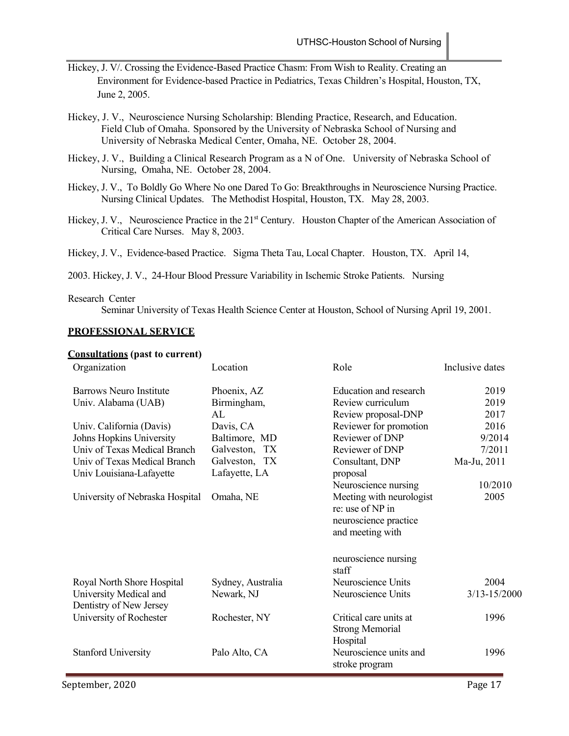- Hickey, J. V/. Crossing the Evidence-Based Practice Chasm: From Wish to Reality. Creating an Environment for Evidence-based Practice in Pediatrics, Texas Children's Hospital, Houston, TX, June 2, 2005.
- Hickey, J. V., Neuroscience Nursing Scholarship: Blending Practice, Research, and Education. Field Club of Omaha. Sponsored by the University of Nebraska School of Nursing and University of Nebraska Medical Center, Omaha, NE. October 28, 2004.
- Hickey, J. V., Building a Clinical Research Program as a N of One. University of Nebraska School of Nursing, Omaha, NE. October 28, 2004.
- Hickey, J. V., To Boldly Go Where No one Dared To Go: Breakthroughs in Neuroscience Nursing Practice. Nursing Clinical Updates. The Methodist Hospital, Houston, TX. May 28, 2003.
- Hickey, J. V., Neuroscience Practice in the 21<sup>st</sup> Century. Houston Chapter of the American Association of Critical Care Nurses. May 8, 2003.
- Hickey, J. V., Evidence-based Practice. Sigma Theta Tau, Local Chapter. Houston, TX. April 14,
- 2003. Hickey, J. V., 24-Hour Blood Pressure Variability in Ischemic Stroke Patients. Nursing

#### Research Center

Seminar University of Texas Health Science Center at Houston, School of Nursing April 19, 2001.

### **PROFESSIONAL SERVICE**

#### **Consultations (past to current)**

| Organization                                      | Location          | Role                                         | Inclusive dates |
|---------------------------------------------------|-------------------|----------------------------------------------|-----------------|
| <b>Barrows Neuro Institute</b>                    | Phoenix, AZ       | Education and research                       | 2019            |
| Univ. Alabama (UAB)                               | Birmingham,       | Review curriculum                            | 2019            |
|                                                   | AL                | Review proposal-DNP                          | 2017            |
| Univ. California (Davis)                          | Davis, CA         | Reviewer for promotion                       | 2016            |
| Johns Hopkins University                          | Baltimore, MD     | Reviewer of DNP                              | 9/2014          |
| Univ of Texas Medical Branch                      | Galveston, TX     | Reviewer of DNP                              | 7/2011          |
| Univ of Texas Medical Branch                      | Galveston, TX     | Consultant, DNP                              | Ma-Ju, 2011     |
| Univ Louisiana-Lafayette                          | Lafayette, LA     | proposal                                     |                 |
|                                                   |                   | Neuroscience nursing                         | 10/2010         |
| University of Nebraska Hospital                   | Omaha, NE         | Meeting with neurologist<br>re: use of NP in | 2005            |
|                                                   |                   | neuroscience practice<br>and meeting with    |                 |
|                                                   |                   |                                              |                 |
|                                                   |                   | neuroscience nursing<br>staff                |                 |
| Royal North Shore Hospital                        | Sydney, Australia | Neuroscience Units                           | 2004            |
| University Medical and<br>Dentistry of New Jersey | Newark, NJ        | Neuroscience Units                           | 3/13-15/2000    |
| University of Rochester                           | Rochester, NY     | Critical care units at                       | 1996            |
|                                                   |                   | <b>Strong Memorial</b>                       |                 |
|                                                   |                   | Hospital                                     |                 |
| <b>Stanford University</b>                        | Palo Alto, CA     | Neuroscience units and<br>stroke program     | 1996            |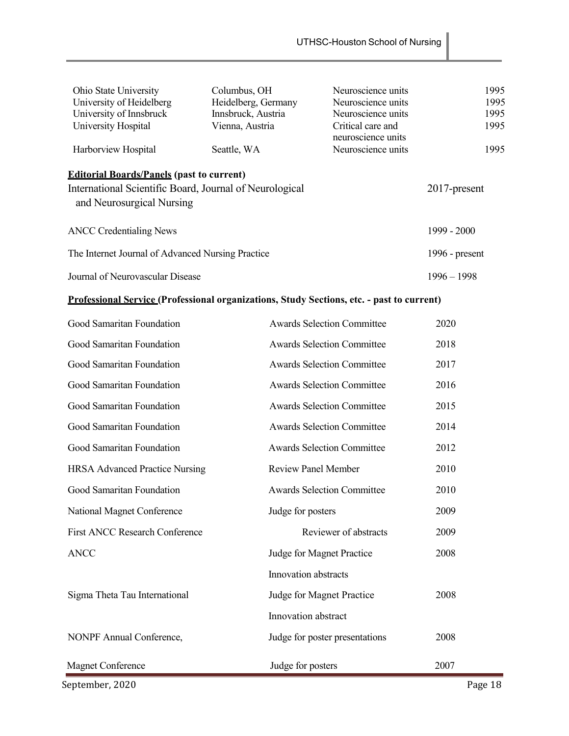| Ohio State University                                                                                                                    | Columbus, OH        | Neuroscience units                      | 1995             |
|------------------------------------------------------------------------------------------------------------------------------------------|---------------------|-----------------------------------------|------------------|
| University of Heidelberg                                                                                                                 | Heidelberg, Germany | Neuroscience units                      | 1995             |
| University of Innsbruck                                                                                                                  | Innsbruck, Austria  | Neuroscience units                      | 1995             |
| University Hospital                                                                                                                      | Vienna, Austria     | Critical care and<br>neuroscience units | 1995             |
| Harborview Hospital                                                                                                                      | Seattle, WA         | Neuroscience units                      | 1995             |
| <b>Editorial Boards/Panels (past to current)</b><br>International Scientific Board, Journal of Neurological<br>and Neurosurgical Nursing |                     |                                         | $2017$ -present  |
| <b>ANCC</b> Credentialing News                                                                                                           |                     |                                         | $1999 - 2000$    |
| The Internet Journal of Advanced Nursing Practice                                                                                        |                     |                                         | 1996 - $present$ |
| Journal of Neurovascular Disease                                                                                                         |                     |                                         | $1996 - 1998$    |

# **Professional Service (Professional organizations, Study Sections, etc. - past to current)**

| September, 2020                       |                                   | Page 18 |
|---------------------------------------|-----------------------------------|---------|
| <b>Magnet Conference</b>              | Judge for posters                 | 2007    |
| NONPF Annual Conference,              | Judge for poster presentations    | 2008    |
|                                       | Innovation abstract               |         |
| Sigma Theta Tau International         | Judge for Magnet Practice         | 2008    |
|                                       | Innovation abstracts              |         |
| <b>ANCC</b>                           | Judge for Magnet Practice         | 2008    |
| <b>First ANCC Research Conference</b> | Reviewer of abstracts             | 2009    |
| National Magnet Conference            | Judge for posters                 | 2009    |
| Good Samaritan Foundation             | <b>Awards Selection Committee</b> | 2010    |
| <b>HRSA Advanced Practice Nursing</b> | <b>Review Panel Member</b>        | 2010    |
| Good Samaritan Foundation             | <b>Awards Selection Committee</b> | 2012    |
| Good Samaritan Foundation             | <b>Awards Selection Committee</b> | 2014    |
| Good Samaritan Foundation             | <b>Awards Selection Committee</b> | 2015    |
| Good Samaritan Foundation             | <b>Awards Selection Committee</b> | 2016    |
| Good Samaritan Foundation             | <b>Awards Selection Committee</b> | 2017    |
| Good Samaritan Foundation             | <b>Awards Selection Committee</b> | 2018    |
| Good Samaritan Foundation             | <b>Awards Selection Committee</b> | 2020    |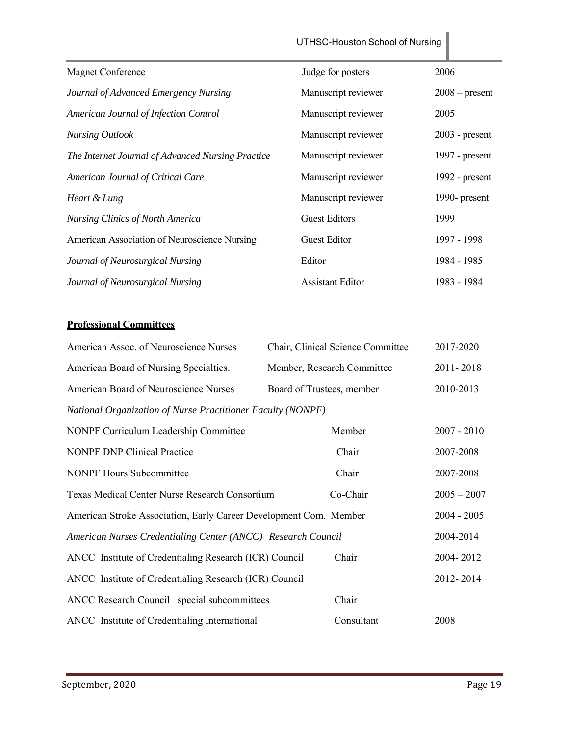|                                                   | UTHSC-Houston School of Nursing |                  |
|---------------------------------------------------|---------------------------------|------------------|
| <b>Magnet Conference</b>                          | Judge for posters               | 2006             |
| Journal of Advanced Emergency Nursing             | Manuscript reviewer             | $2008$ – present |
| American Journal of Infection Control             | Manuscript reviewer             | 2005             |
| <b>Nursing Outlook</b>                            | Manuscript reviewer             | $2003$ - present |
| The Internet Journal of Advanced Nursing Practice | Manuscript reviewer             | 1997 - $present$ |
| American Journal of Critical Care                 | Manuscript reviewer             | $1992$ - present |
| Heart & Lung                                      | Manuscript reviewer             | 1990- present    |
| <b>Nursing Clinics of North America</b>           | <b>Guest Editors</b>            | 1999             |
| American Association of Neuroscience Nursing      | <b>Guest Editor</b>             | 1997 - 1998      |
| Journal of Neurosurgical Nursing                  | Editor                          | 1984 - 1985      |
| Journal of Neurosurgical Nursing                  | <b>Assistant Editor</b>         | 1983 - 1984      |

# **Professional Committees**

| American Assoc. of Neuroscience Nurses                            | Chair, Clinical Science Committee | 2017-2020     |
|-------------------------------------------------------------------|-----------------------------------|---------------|
| American Board of Nursing Specialties.                            | Member, Research Committee        | 2011-2018     |
| American Board of Neuroscience Nurses                             | Board of Trustees, member         | 2010-2013     |
| National Organization of Nurse Practitioner Faculty (NONPF)       |                                   |               |
| NONPF Curriculum Leadership Committee                             | Member                            | $2007 - 2010$ |
| <b>NONPF DNP Clinical Practice</b>                                | Chair                             | 2007-2008     |
| <b>NONPF Hours Subcommittee</b>                                   | Chair                             | 2007-2008     |
| Texas Medical Center Nurse Research Consortium                    | Co-Chair                          | $2005 - 2007$ |
| American Stroke Association, Early Career Development Com. Member |                                   | $2004 - 2005$ |
| American Nurses Credentialing Center (ANCC) Research Council      |                                   | 2004-2014     |
| ANCC Institute of Credentialing Research (ICR) Council            | Chair                             | 2004-2012     |
| ANCC Institute of Credentialing Research (ICR) Council            |                                   | 2012-2014     |
| ANCC Research Council special subcommittees                       | Chair                             |               |
| ANCC Institute of Credentialing International                     | Consultant                        | 2008          |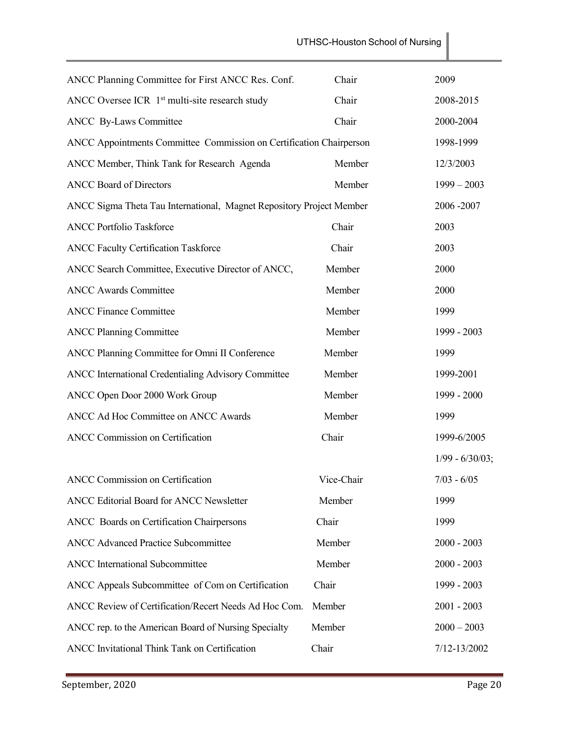| ANCC Planning Committee for First ANCC Res. Conf.                    | Chair      | 2009              |
|----------------------------------------------------------------------|------------|-------------------|
| ANCC Oversee ICR 1 <sup>st</sup> multi-site research study           | Chair      | 2008-2015         |
| <b>ANCC</b> By-Laws Committee                                        | Chair      | 2000-2004         |
| ANCC Appointments Committee Commission on Certification Chairperson  |            | 1998-1999         |
| ANCC Member, Think Tank for Research Agenda                          | Member     | 12/3/2003         |
| <b>ANCC Board of Directors</b>                                       | Member     | $1999 - 2003$     |
| ANCC Sigma Theta Tau International, Magnet Repository Project Member |            | 2006-2007         |
| <b>ANCC Portfolio Taskforce</b>                                      | Chair      | 2003              |
| <b>ANCC Faculty Certification Taskforce</b>                          | Chair      | 2003              |
| ANCC Search Committee, Executive Director of ANCC,                   | Member     | 2000              |
| <b>ANCC Awards Committee</b>                                         | Member     | 2000              |
| <b>ANCC Finance Committee</b>                                        | Member     | 1999              |
| <b>ANCC Planning Committee</b>                                       | Member     | 1999 - 2003       |
| ANCC Planning Committee for Omni II Conference                       | Member     | 1999              |
| ANCC International Credentialing Advisory Committee                  | Member     | 1999-2001         |
| ANCC Open Door 2000 Work Group                                       | Member     | 1999 - 2000       |
| ANCC Ad Hoc Committee on ANCC Awards                                 | Member     | 1999              |
| <b>ANCC Commission on Certification</b>                              | Chair      | 1999-6/2005       |
|                                                                      |            | $1/99 - 6/30/03;$ |
| <b>ANCC Commission on Certification</b>                              | Vice-Chair | $7/03 - 6/05$     |
| ANCC Editorial Board for ANCC Newsletter                             | Member     | 1999              |
| ANCC Boards on Certification Chairpersons                            | Chair      | 1999              |
| <b>ANCC Advanced Practice Subcommittee</b>                           | Member     | $2000 - 2003$     |
| <b>ANCC</b> International Subcommittee                               | Member     | $2000 - 2003$     |
| ANCC Appeals Subcommittee of Com on Certification                    | Chair      | 1999 - 2003       |
| ANCC Review of Certification/Recert Needs Ad Hoc Com.                | Member     | $2001 - 2003$     |
| ANCC rep. to the American Board of Nursing Specialty                 | Member     | $2000 - 2003$     |
| ANCC Invitational Think Tank on Certification                        | Chair      | 7/12-13/2002      |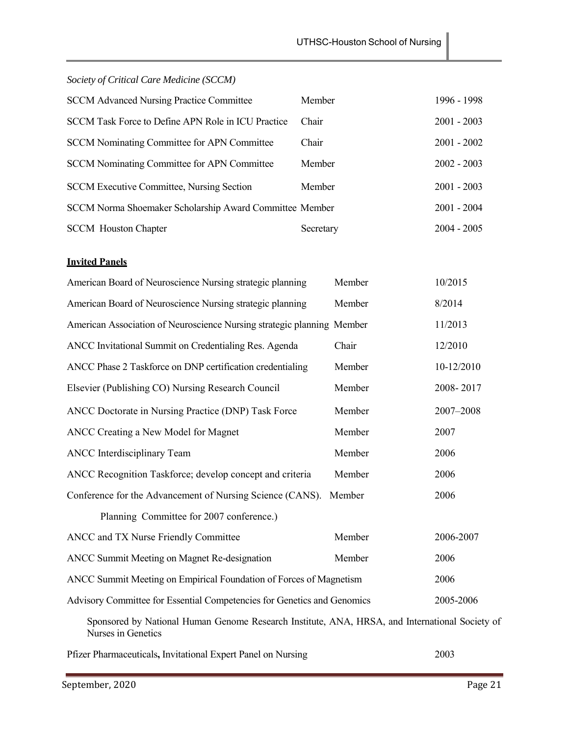*Society of Critical Care Medicine (SCCM)* 

| <b>SCCM Advanced Nursing Practice Committee</b>         | Member    | 1996 - 1998   |
|---------------------------------------------------------|-----------|---------------|
| SCCM Task Force to Define APN Role in ICU Practice      | Chair     | $2001 - 2003$ |
| <b>SCCM</b> Nominating Committee for APN Committee      | Chair     | $2001 - 2002$ |
| <b>SCCM</b> Nominating Committee for APN Committee      | Member    | $2002 - 2003$ |
| <b>SCCM Executive Committee, Nursing Section</b>        | Member    | $2001 - 2003$ |
| SCCM Norma Shoemaker Scholarship Award Committee Member |           | $2001 - 2004$ |
| <b>SCCM</b> Houston Chapter                             | Secretary | $2004 - 2005$ |

# **Invited Panels**

| American Board of Neuroscience Nursing strategic planning                                                            | Member | 10/2015    |
|----------------------------------------------------------------------------------------------------------------------|--------|------------|
| American Board of Neuroscience Nursing strategic planning                                                            | Member | 8/2014     |
| American Association of Neuroscience Nursing strategic planning Member                                               |        | 11/2013    |
| ANCC Invitational Summit on Credentialing Res. Agenda                                                                | Chair  | 12/2010    |
| ANCC Phase 2 Taskforce on DNP certification credentialing                                                            | Member | 10-12/2010 |
| Elsevier (Publishing CO) Nursing Research Council                                                                    | Member | 2008-2017  |
| ANCC Doctorate in Nursing Practice (DNP) Task Force                                                                  | Member | 2007-2008  |
| ANCC Creating a New Model for Magnet                                                                                 | Member | 2007       |
| <b>ANCC</b> Interdisciplinary Team                                                                                   | Member | 2006       |
| ANCC Recognition Taskforce; develop concept and criteria                                                             | Member | 2006       |
| Conference for the Advancement of Nursing Science (CANS).                                                            | Member | 2006       |
| Planning Committee for 2007 conference.)                                                                             |        |            |
| ANCC and TX Nurse Friendly Committee                                                                                 | Member | 2006-2007  |
| ANCC Summit Meeting on Magnet Re-designation                                                                         | Member | 2006       |
| ANCC Summit Meeting on Empirical Foundation of Forces of Magnetism                                                   |        | 2006       |
| Advisory Committee for Essential Competencies for Genetics and Genomics                                              |        | 2005-2006  |
| Sponsored by National Human Genome Research Institute, ANA, HRSA, and International Society of<br>Nurses in Genetics |        |            |
| Pfizer Pharmaceuticals, Invitational Expert Panel on Nursing                                                         |        | 2003       |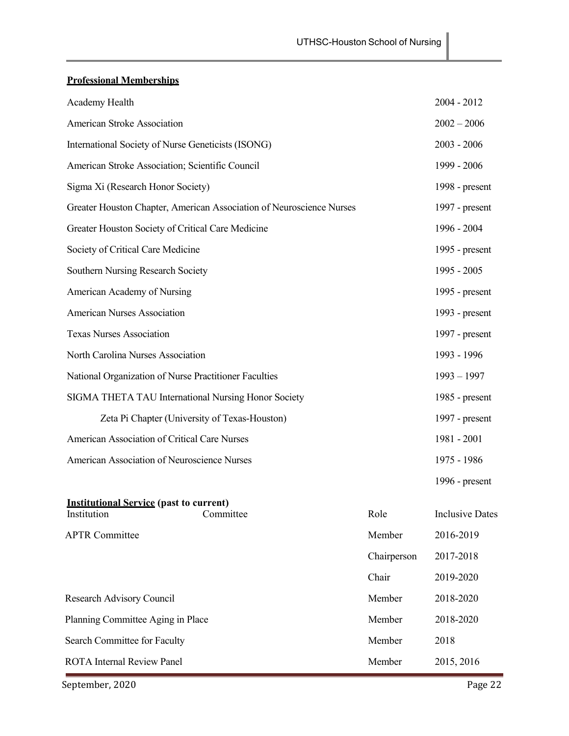# **Professional Memberships**

| Academy Health                                                       |             | $2004 - 2012$          |
|----------------------------------------------------------------------|-------------|------------------------|
| American Stroke Association                                          |             | $2002 - 2006$          |
| International Society of Nurse Geneticists (ISONG)                   |             | $2003 - 2006$          |
| American Stroke Association; Scientific Council                      |             | 1999 - 2006            |
| Sigma Xi (Research Honor Society)                                    |             | 1998 - $present$       |
| Greater Houston Chapter, American Association of Neuroscience Nurses |             | 1997 - present         |
| Greater Houston Society of Critical Care Medicine                    |             | 1996 - 2004            |
| Society of Critical Care Medicine                                    |             | 1995 - present         |
| Southern Nursing Research Society                                    |             | 1995 - 2005            |
| American Academy of Nursing                                          |             | 1995 - present         |
| <b>American Nurses Association</b>                                   |             | 1993 - present         |
| <b>Texas Nurses Association</b>                                      |             | 1997 - present         |
| North Carolina Nurses Association                                    |             | 1993 - 1996            |
| National Organization of Nurse Practitioner Faculties                |             | $1993 - 1997$          |
| SIGMA THETA TAU International Nursing Honor Society                  |             | 1985 - present         |
| Zeta Pi Chapter (University of Texas-Houston)                        |             | 1997 - present         |
| American Association of Critical Care Nurses                         |             | 1981 - 2001            |
| American Association of Neuroscience Nurses                          |             | 1975 - 1986            |
|                                                                      |             | 1996 - $present$       |
| <b>Institutional Service (past to current)</b>                       |             |                        |
| Committee<br>Institution                                             | Role        | <b>Inclusive Dates</b> |
| <b>APTR Committee</b>                                                | Member      | 2016-2019              |
|                                                                      | Chairperson | 2017-2018              |
|                                                                      | Chair       | 2019-2020              |
| Research Advisory Council                                            | Member      | 2018-2020              |
| Planning Committee Aging in Place                                    | Member      | 2018-2020              |
| Search Committee for Faculty                                         | Member      | 2018                   |
| <b>ROTA</b> Internal Review Panel                                    | Member      | 2015, 2016             |

September, 2020 Page 22